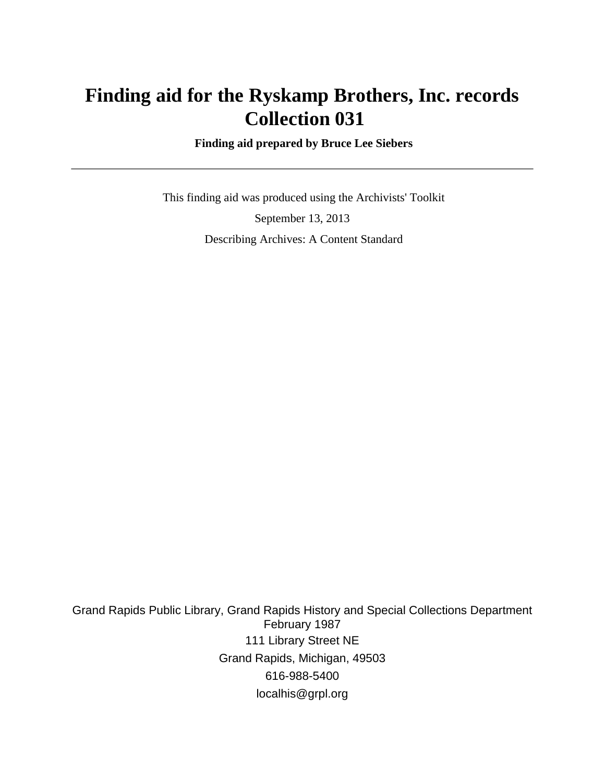# **Finding aid for the Ryskamp Brothers, Inc. records Collection 031**

 **Finding aid prepared by Bruce Lee Siebers**

 This finding aid was produced using the Archivists' Toolkit September 13, 2013 Describing Archives: A Content Standard

Grand Rapids Public Library, Grand Rapids History and Special Collections Department February 1987 111 Library Street NE Grand Rapids, Michigan, 49503 616-988-5400 localhis@grpl.org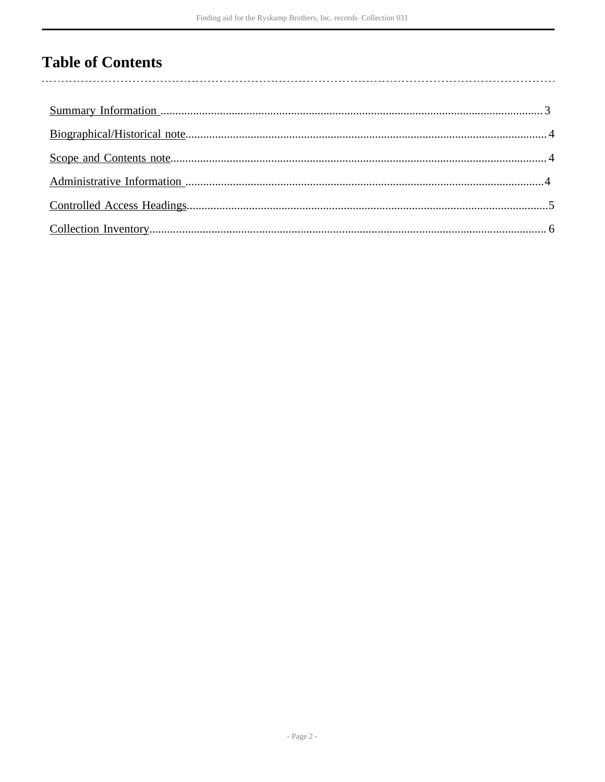# **Table of Contents**

 $\overline{\phantom{a}}$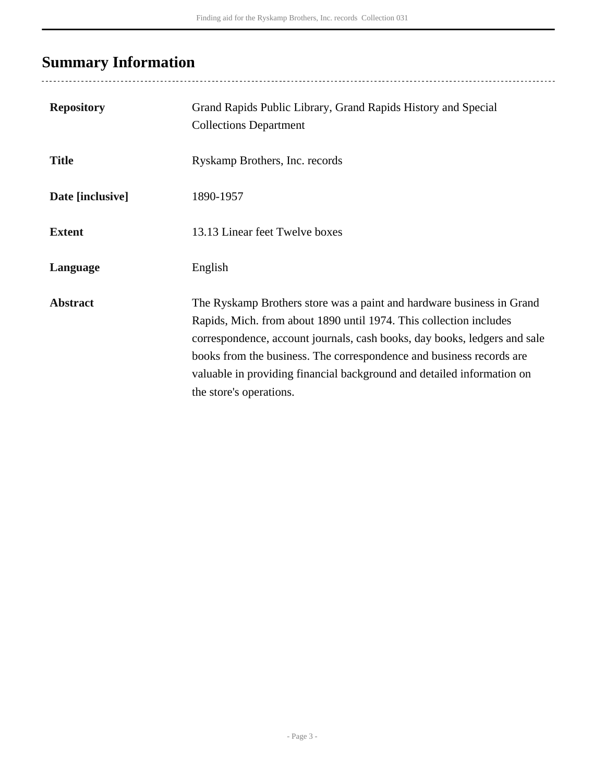# <span id="page-2-0"></span>**Summary Information**

..................................

| <b>Repository</b> | Grand Rapids Public Library, Grand Rapids History and Special<br><b>Collections Department</b>                                                                                                                                                                                                                                                                                                        |
|-------------------|-------------------------------------------------------------------------------------------------------------------------------------------------------------------------------------------------------------------------------------------------------------------------------------------------------------------------------------------------------------------------------------------------------|
| <b>Title</b>      | Ryskamp Brothers, Inc. records                                                                                                                                                                                                                                                                                                                                                                        |
| Date [inclusive]  | 1890-1957                                                                                                                                                                                                                                                                                                                                                                                             |
| <b>Extent</b>     | 13.13 Linear feet Twelve boxes                                                                                                                                                                                                                                                                                                                                                                        |
| Language          | English                                                                                                                                                                                                                                                                                                                                                                                               |
| <b>Abstract</b>   | The Ryskamp Brothers store was a paint and hardware business in Grand<br>Rapids, Mich. from about 1890 until 1974. This collection includes<br>correspondence, account journals, cash books, day books, ledgers and sale<br>books from the business. The correspondence and business records are<br>valuable in providing financial background and detailed information on<br>the store's operations. |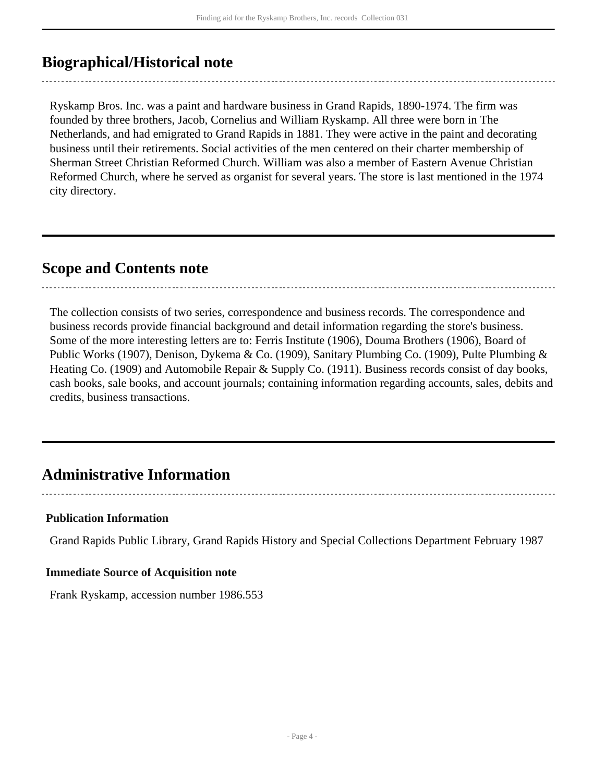## <span id="page-3-0"></span>**Biographical/Historical note**

Ryskamp Bros. Inc. was a paint and hardware business in Grand Rapids, 1890-1974. The firm was founded by three brothers, Jacob, Cornelius and William Ryskamp. All three were born in The Netherlands, and had emigrated to Grand Rapids in 1881. They were active in the paint and decorating business until their retirements. Social activities of the men centered on their charter membership of Sherman Street Christian Reformed Church. William was also a member of Eastern Avenue Christian Reformed Church, where he served as organist for several years. The store is last mentioned in the 1974 city directory.

### <span id="page-3-1"></span>**Scope and Contents note**

The collection consists of two series, correspondence and business records. The correspondence and business records provide financial background and detail information regarding the store's business. Some of the more interesting letters are to: Ferris Institute (1906), Douma Brothers (1906), Board of Public Works (1907), Denison, Dykema & Co. (1909), Sanitary Plumbing Co. (1909), Pulte Plumbing & Heating Co. (1909) and Automobile Repair & Supply Co. (1911). Business records consist of day books, cash books, sale books, and account journals; containing information regarding accounts, sales, debits and credits, business transactions.

## <span id="page-3-2"></span>**Administrative Information**

#### **Publication Information**

Grand Rapids Public Library, Grand Rapids History and Special Collections Department February 1987

#### **Immediate Source of Acquisition note**

Frank Ryskamp, accession number 1986.553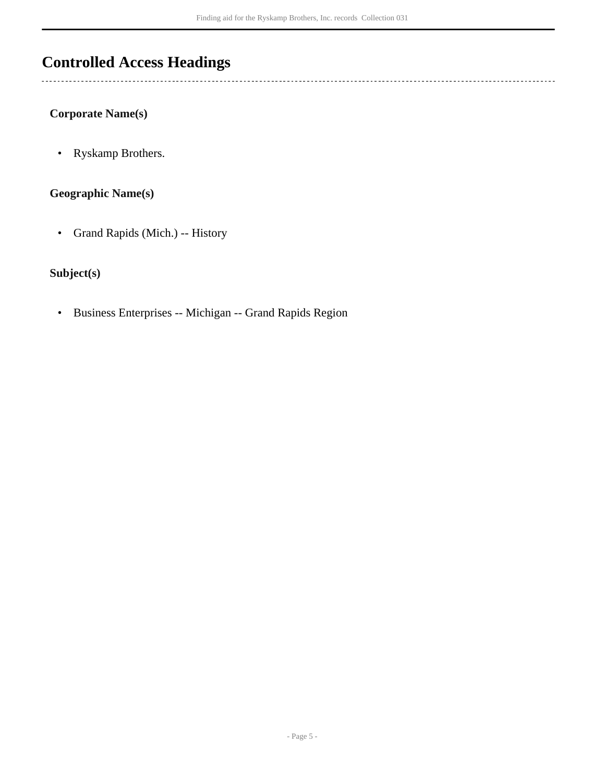## <span id="page-4-0"></span>**Controlled Access Headings**

**Corporate Name(s)**

 $\overline{a}$ 

• Ryskamp Brothers.

### **Geographic Name(s)**

• Grand Rapids (Mich.) -- History

### **Subject(s)**

• Business Enterprises -- Michigan -- Grand Rapids Region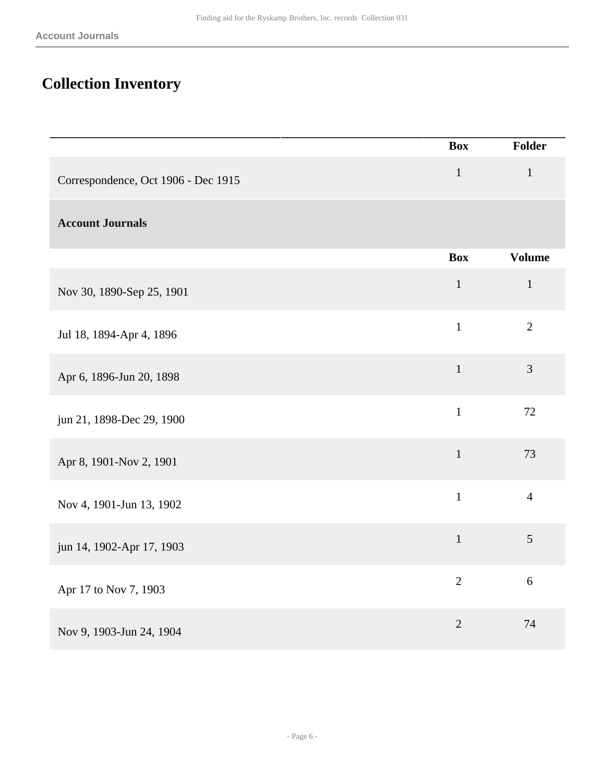# <span id="page-5-0"></span>**Collection Inventory**

|                                     | <b>Box</b>     | <b>Folder</b>  |
|-------------------------------------|----------------|----------------|
| Correspondence, Oct 1906 - Dec 1915 | $\,1$          | $\mathbf 1$    |
| <b>Account Journals</b>             |                |                |
|                                     | <b>Box</b>     | <b>Volume</b>  |
| Nov 30, 1890-Sep 25, 1901           | $\,1$          | $\,1\,$        |
| Jul 18, 1894-Apr 4, 1896            | $\mathbf{1}$   | $\overline{2}$ |
| Apr 6, 1896-Jun 20, 1898            | $\mathbf{1}$   | 3              |
| jun 21, 1898-Dec 29, 1900           | $\mathbf{1}$   | $72\,$         |
| Apr 8, 1901-Nov 2, 1901             | $1\,$          | 73             |
| Nov 4, 1901-Jun 13, 1902            | $\mathbf{1}$   | $\overline{4}$ |
| jun 14, 1902-Apr 17, 1903           | $\mathbf{1}$   | 5              |
| Apr 17 to Nov 7, 1903               | $\overline{2}$ | 6              |
| Nov 9, 1903-Jun 24, 1904            | $\overline{2}$ | 74             |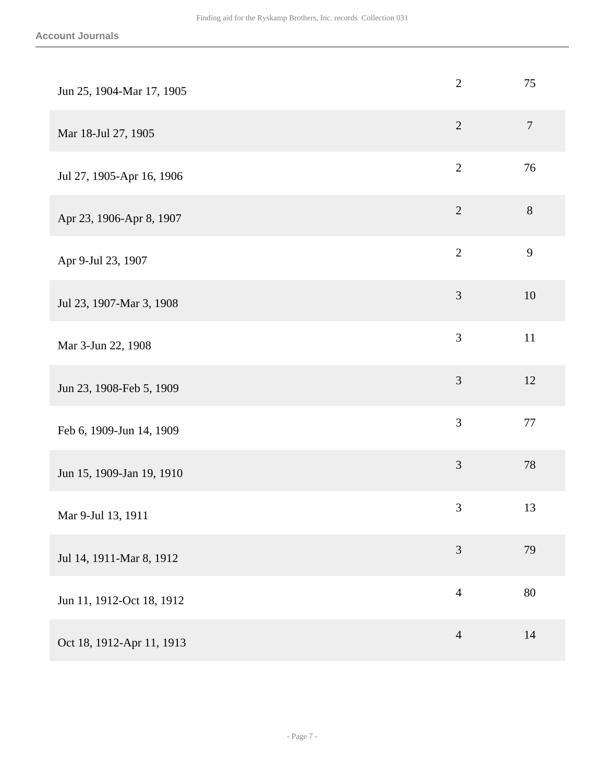| Jun 25, 1904-Mar 17, 1905 | $\mathbf{2}$   | 75             |
|---------------------------|----------------|----------------|
| Mar 18-Jul 27, 1905       | $\overline{2}$ | $\overline{7}$ |
| Jul 27, 1905-Apr 16, 1906 | $\sqrt{2}$     | 76             |
| Apr 23, 1906-Apr 8, 1907  | $\sqrt{2}$     | $8\,$          |
| Apr 9-Jul 23, 1907        | $\overline{2}$ | 9              |
| Jul 23, 1907-Mar 3, 1908  | $\mathfrak{Z}$ | 10             |
| Mar 3-Jun 22, 1908        | $\mathfrak{Z}$ | $11\,$         |
| Jun 23, 1908-Feb 5, 1909  | $\mathfrak{Z}$ | 12             |
| Feb 6, 1909-Jun 14, 1909  | $\mathfrak{Z}$ | $77\,$         |
| Jun 15, 1909-Jan 19, 1910 | $\mathfrak{Z}$ | 78             |
| Mar 9-Jul 13, 1911        | $\mathfrak{Z}$ | 13             |
| Jul 14, 1911-Mar 8, 1912  | $\mathfrak{Z}$ | 79             |
| Jun 11, 1912-Oct 18, 1912 | $\overline{4}$ | 80             |
| Oct 18, 1912-Apr 11, 1913 | $\overline{4}$ | 14             |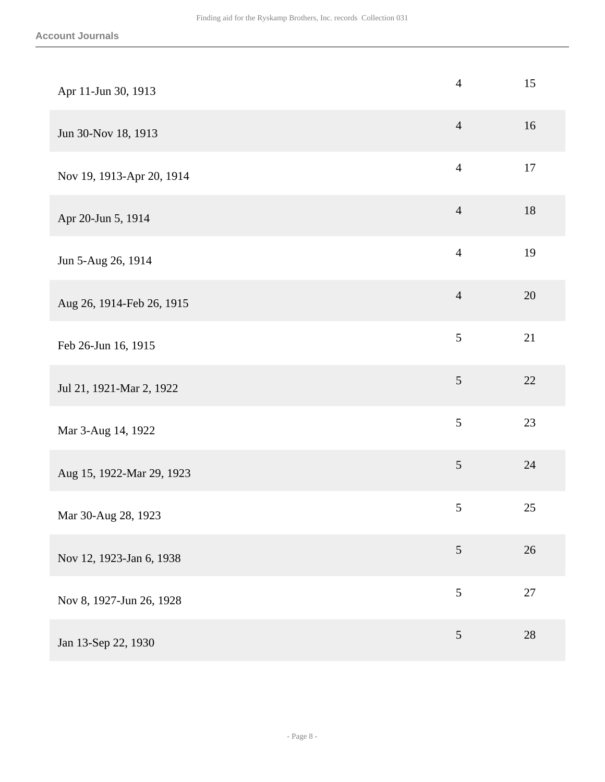| Apr 11-Jun 30, 1913       | $\overline{4}$ | 15     |
|---------------------------|----------------|--------|
| Jun 30-Nov 18, 1913       | $\overline{4}$ | 16     |
| Nov 19, 1913-Apr 20, 1914 | $\overline{4}$ | 17     |
| Apr 20-Jun 5, 1914        | $\overline{4}$ | 18     |
| Jun 5-Aug 26, 1914        | $\overline{4}$ | 19     |
| Aug 26, 1914-Feb 26, 1915 | $\overline{4}$ | 20     |
| Feb 26-Jun 16, 1915       | 5              | 21     |
| Jul 21, 1921-Mar 2, 1922  | $\mathfrak{S}$ | 22     |
| Mar 3-Aug 14, 1922        | $\sqrt{5}$     | 23     |
| Aug 15, 1922-Mar 29, 1923 | $\sqrt{5}$     | 24     |
| Mar 30-Aug 28, 1923       | $\sqrt{5}$     | 25     |
| Nov 12, 1923-Jan 6, 1938  | $\mathfrak{S}$ | 26     |
| Nov 8, 1927-Jun 26, 1928  | 5              | $27\,$ |
| Jan 13-Sep 22, 1930       | $\mathfrak{S}$ | 28     |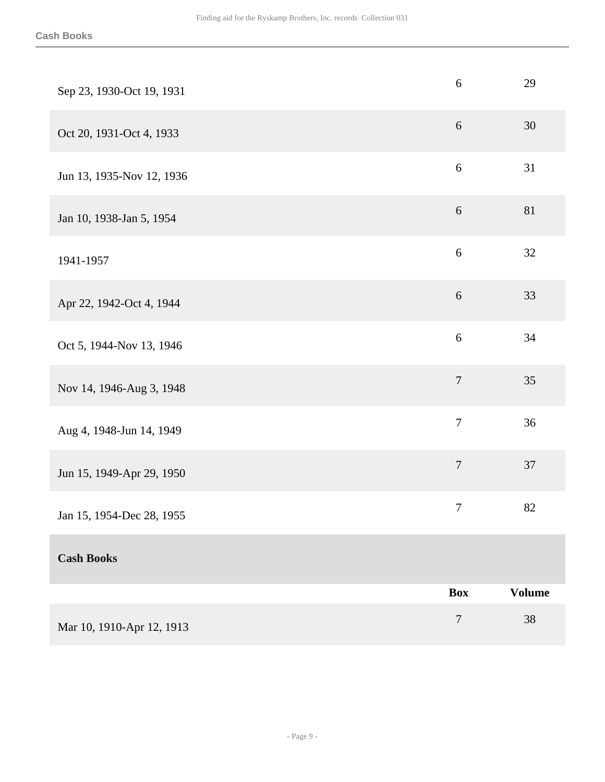| Sep 23, 1930-Oct 19, 1931 | $\sqrt{6}$       | 29            |
|---------------------------|------------------|---------------|
| Oct 20, 1931-Oct 4, 1933  | 6                | $30\,$        |
| Jun 13, 1935-Nov 12, 1936 | 6                | 31            |
| Jan 10, 1938-Jan 5, 1954  | 6                | 81            |
| 1941-1957                 | $\sqrt{6}$       | 32            |
| Apr 22, 1942-Oct 4, 1944  | $\sqrt{6}$       | 33            |
| Oct 5, 1944-Nov 13, 1946  | 6                | 34            |
| Nov 14, 1946-Aug 3, 1948  | $\overline{7}$   | 35            |
| Aug 4, 1948-Jun 14, 1949  | $\boldsymbol{7}$ | 36            |
| Jun 15, 1949-Apr 29, 1950 | $\boldsymbol{7}$ | 37            |
| Jan 15, 1954-Dec 28, 1955 | $\boldsymbol{7}$ | 82            |
| <b>Cash Books</b>         |                  |               |
|                           | <b>Box</b>       | <b>Volume</b> |
| Mar 10, 1910-Apr 12, 1913 | $\boldsymbol{7}$ | 38            |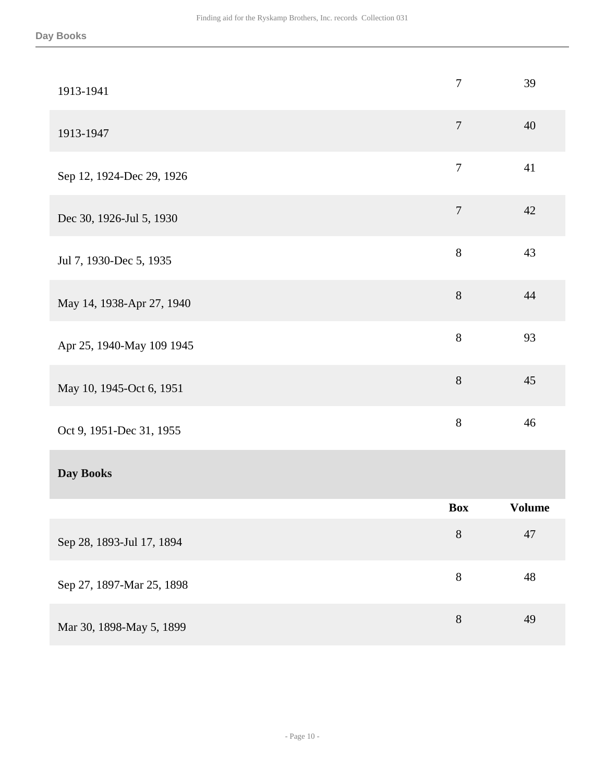| 1913-1941                 | $\tau$         | 39            |
|---------------------------|----------------|---------------|
| 1913-1947                 | $\overline{7}$ | 40            |
| Sep 12, 1924-Dec 29, 1926 | $\overline{7}$ | 41            |
| Dec 30, 1926-Jul 5, 1930  | $\overline{7}$ | 42            |
| Jul 7, 1930-Dec 5, 1935   | 8              | 43            |
| May 14, 1938-Apr 27, 1940 | $8\,$          | 44            |
| Apr 25, 1940-May 109 1945 | $8\,$          | 93            |
| May 10, 1945-Oct 6, 1951  | 8              | 45            |
| Oct 9, 1951-Dec 31, 1955  | $8\,$          | 46            |
| Day Books                 |                |               |
|                           | <b>Box</b>     | <b>Volume</b> |
| Sep 28, 1893-Jul 17, 1894 | $8\,$          | 47            |
| Sep 27, 1897-Mar 25, 1898 | 8              | $\sqrt{48}$   |
| Mar 30, 1898-May 5, 1899  | $8\,$          | 49            |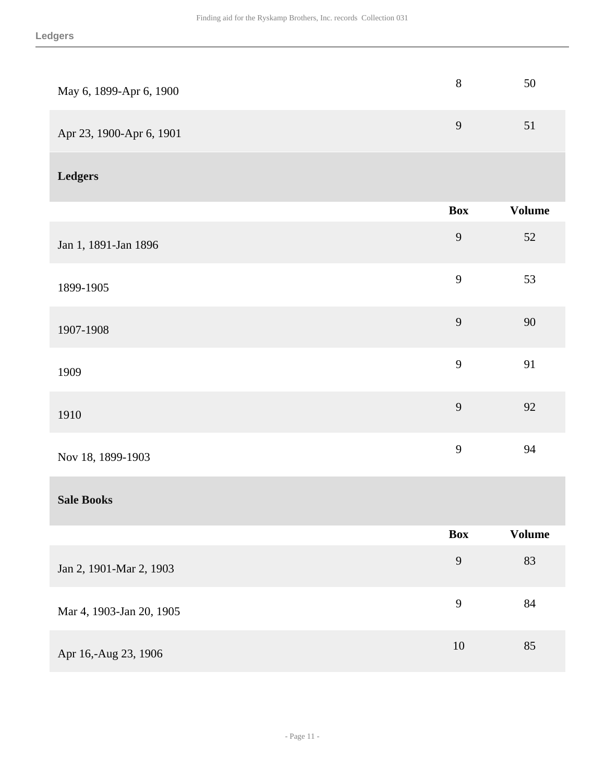| May 6, 1899-Apr 6, 1900  | $8\,$          | $50\,$        |
|--------------------------|----------------|---------------|
| Apr 23, 1900-Apr 6, 1901 | 9              | 51            |
| <b>Ledgers</b>           |                |               |
|                          | <b>Box</b>     | <b>Volume</b> |
| Jan 1, 1891-Jan 1896     | $\overline{9}$ | $52\,$        |
| 1899-1905                | 9              | 53            |
| 1907-1908                | 9              | $90\,$        |
| 1909                     | 9              | 91            |
| 1910                     | 9              | 92            |
| Nov 18, 1899-1903        | 9              | 94            |
| <b>Sale Books</b>        |                |               |
|                          | Box            | <b>Volume</b> |
| Jan 2, 1901-Mar 2, 1903  | 9              | 83            |
| Mar 4, 1903-Jan 20, 1905 | 9              | $84\,$        |
| Apr 16,-Aug 23, 1906     | $10\,$         | 85            |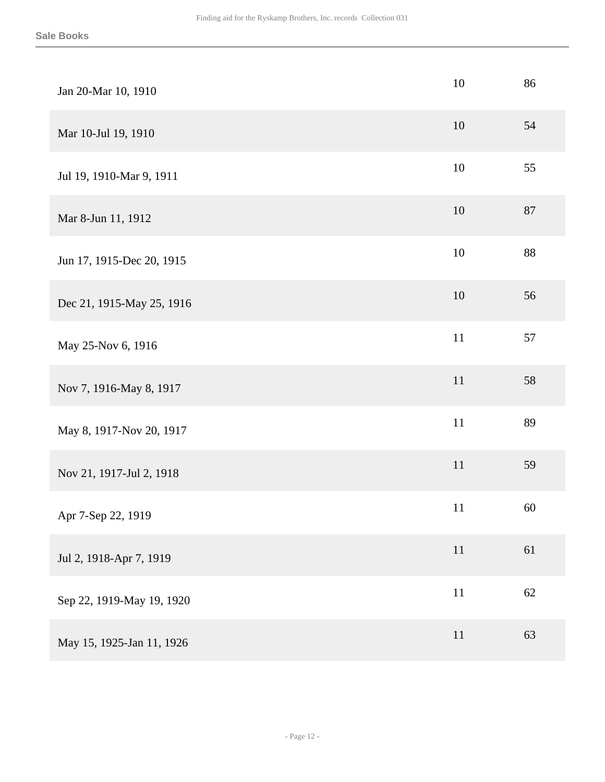| Jan 20-Mar 10, 1910       | 10     | 86     |
|---------------------------|--------|--------|
| Mar 10-Jul 19, 1910       | 10     | 54     |
| Jul 19, 1910-Mar 9, 1911  | 10     | 55     |
| Mar 8-Jun 11, 1912        | $10\,$ | $87\,$ |
| Jun 17, 1915-Dec 20, 1915 | $10\,$ | 88     |
| Dec 21, 1915-May 25, 1916 | $10\,$ | 56     |
| May 25-Nov 6, 1916        | 11     | 57     |
| Nov 7, 1916-May 8, 1917   | 11     | 58     |
| May 8, 1917-Nov 20, 1917  | 11     | 89     |
| Nov 21, 1917-Jul 2, 1918  | 11     | 59     |
| Apr 7-Sep 22, 1919        | 11     | 60     |
| Jul 2, 1918-Apr 7, 1919   | $11\,$ | 61     |
| Sep 22, 1919-May 19, 1920 | 11     | 62     |
| May 15, 1925-Jan 11, 1926 | 11     | 63     |